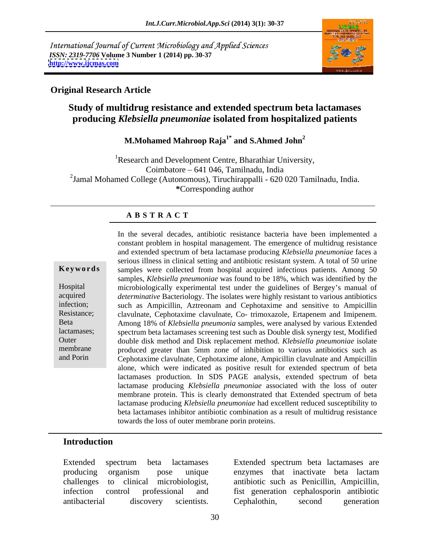International Journal of Current Microbiology and Applied Sciences *ISSN: 2319-7706* **Volume 3 Number 1 (2014) pp. 30-37 <http://www.ijcmas.com>**



## **Original Research Article**

## **Study of multidrug resistance and extended spectrum beta lactamases producing** *Klebsiella pneumoniae* **isolated from hospitalized patients**

#### **M.Mohamed Mahroop Raja1\* and S.Ahmed John<sup>2</sup>**

<sup>1</sup>Research and Development Centre, Bharathiar University, Coimbatore 641 046, Tamilnadu, India 2 Jamal Mohamed College (Autonomous), Tiruchirappalli - 620 020 Tamilnadu, India. **\***Corresponding author

### **A B S T R A C T**

**Keywords** samples were collected from hospital acquired infectious patients. Among 50 Hospital microbiologically experimental test under the guidelines of Bergey's manual of acquired *determinative* Bacteriology. The isolates were highly resistant to various antibiotics infection; such as Ampicillin, Aztreonam and Cephotaxime and sensitive to Ampicillin Resistance; clavulnate, Cephotaxime clavulnate, Co- trimoxazole, Ertapenem and Imipenem. Beta **Among 18% of** *Klebsiella pneumonia* samples, were analysed by various Extended lactamases; spectrum beta lactamases screening test such as Double disk synergy test, Modified Outer double disk method and Disk replacement method. *Klebsiella pneumoniae* isolate membrane produced greater than 5mm zone of inhibition to various antibiotics such as and Porin Cephotaxime clavulnate, Cephotaxime alone, Ampicillin clavulnate and Ampicillin In the several decades, antibiotic resistance bacteria have been implemented a constant problem in hospital management. The emergence of multidrug resistance and extended spectrum of beta lactamase producing *Klebsiella pneumoniae* faces a serious illness in clinical setting and antibiotic resistant system. A total of 50 urine samples, *Klebsiella pneumoniae* was found to be 18%, which was identified by the alone, which were indicated as positive result for extended spectrum of beta lactamases production. In SDS PAGE analysis, extended spectrum of beta lactamase producing *Klebsiella pneumoniae* associated with the loss of outer membrane protein. This is clearly demonstrated that Extended spectrum of beta lactamase producing *Klebsiella pneumoniae* had excellent reduced susceptibility to beta lactamases inhibitor antibiotic combination as a result of multidrug resistance towards the loss of outer membrane porin proteins.

### **Introduction**

producing organism pose unique challenges to clinical microbiologist, antibiotic such as Penicillin, Ampicillin, infection control professional and fist generation cephalosporin antibiotic antibacterial discovery scientists.

Extended spectrum beta lactamases Extended spectrum beta lactamases are enzymes that inactivate beta lactam Cephalothin, second generation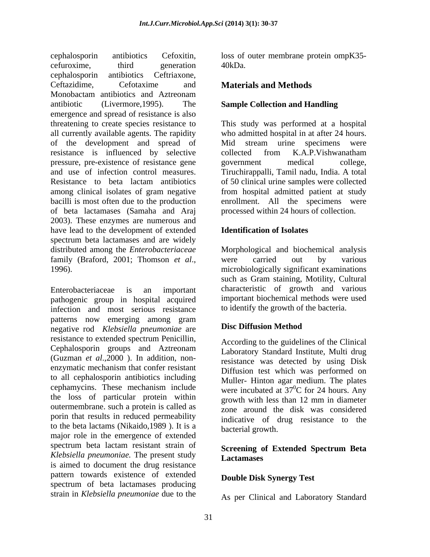cephalosporin antibiotics Cefoxitin, loss of outer membrane protein ompK35 cefuroxime, third generation 40kDa. cephalosporin antibiotics Ceftriaxone, Ceftazidime, Cefotaxime and **Materials and Methods** Monobactam antibiotics and Aztreonam antibiotic (Livermore,1995). The **Sample Collection and Handling** emergence and spread of resistance is also threatening to create species resistance to This study was performed at a hospital all currently available agents. The rapidity who admitted hospital in at after 24 hours. of the development and spread of resistance is influenced by selective collected from K.A.P.Vishwanatham pressure, pre-existence of resistance gene government medical college, and use of infection control measures. Tiruchirappalli, Tamil nadu, India. A total Resistance to beta lactam antibiotics of 50 clinical urine samples were collected among clinical isolates of gram negative from hospital admitted patient at study bacilli is most often due to the production enrollment. All the specimens were of beta lactamases (Samaha and Araj processed within 24 hours of collection. 2003). These enzymes are numerous and have lead to the development of extended **Identification of Isolates** spectrum beta lactamases and are widely distributed among the *Enterobacteriaceae* Morphological and biochemical analysis family (Braford, 2001; Thomson *et al.*, were carried out by various

Enterobacteriaceae is an important characteristic of growth and various pathogenic group in hospital acquired infection and most serious resistance patterns now emerging among gram negative rod *Klebsiella pneumoniae* are resistance to extended spectrum Penicillin, Cephalosporin groups and Aztreonam (Guzman *et al*.,2000 ).In addition, non enzymatic mechanism that confer resistant to all cephalosporin antibiotics including cephamycins. These mechanism include were incubated at  $37^{\circ}$ C for 24 hours. Any the loss of particular protein within outermembrane. such a protein is called as porin that results in reduced permeability to the beta lactams (Nikaido,1989 ). It is a major role in the emergence of extended spectrum beta lactam resistant strain of **Sergening of Extended Spectrum Reta** *Klebsiella pneumoniae.* The present study is aimed to document the drug resistance pattern towards existence of extended spectrum of beta lactamases producing strain in *Klebsiella pneumoniae*due to the

40kDa.

#### **Materials and Methods**

Mid stream urine specimens were collected from K.A.P.Vishwanatham government medical college,

#### **Identification of Isolates**

1996). microbiologically significant examinations were carried out by various such as Gram staining, Motility, Cultural important biochemical methods were used to identify the growth of the bacteria.

## **Disc Diffusion Method**

According to the guidelines of the Clinical Laboratory Standard Institute, Multi drug resistance was detected by using Disk Diffusion test which was performed on Muller- Hinton agar medium. The plates  ${}^{0}C$  for 24 hours. Any growth with less than 12 mm in diameter zone around the disk was considered indicative of drug resistance to the bacterial growth.

#### **Screening of Extended Spectrum Beta Lactamases**

#### **Double Disk Synergy Test**

As per Clinical and Laboratory Standard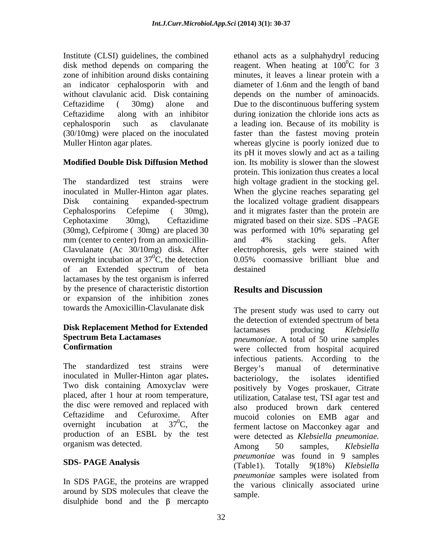without clavulanic acid. Disk containing

(30mg), Cefpirome (30mg) are placed 30 was performed with 10% separating gel mm (center to center) from an amoxicillin- and 4% stacking gels. After of an Extended spectrum of beta lactamases by the test organism is inferred by the presence of characteristic distortion<br>Results and Discussion or expansion of the inhibition zones

# **Disk Replacement Method for Extended** lactamases producing *Klebsiella*

The standardized test strains were Bergey's manual of determinative inoculated in Muller-Hinton agar plates. bacteriology, the isolates identified Two disk containing Amoxyclav were the disc were removed and replaced with production of an ESBL by the test

In SDS PAGE, the proteins are wrapped around by SDS molecules that cleave the disulphide bond and the  $\beta$  mercapto

Institute (CLSI) guidelines, the combined ethanol acts as a sulphahydryl reducing disk method depends on comparing the reagent. When heating at  $100^{\circ}$ C for 3 zone of inhibition around disks containing minutes, it leaves a linear protein with a an indicator cephalosporin with and diameter of 1.6nm and the length of band Ceftazidime ( 30mg) alone and Due to the discontinuous buffering system Ceftazidime along with an inhibitor during ionization the chloride ions acts as cephalosporin such as clavulanate a leading ion. Because of its mobility is (30/10mg) were placed on the inoculated faster than the fastest moving protein Muller Hinton agar plates. whereas glycine is poorly ionized due to **Modified Double Disk Diffusion Method** ion. Its mobility is slower than the slowest The standardized test strains were high voltage gradient in the stocking gel. inoculated in Muller-Hinton agar plates. When the glycine reaches separating gel Disk containing expanded-spectrum the localized voltage gradient disappears Cephalosporins Cefepime ( 30mg), and it migrates faster than the protein are Cephotaxime 30mg), Ceftazidime migrated based on their size. SDS PAGE Clavulanate (Ac 30/10mg) disk. After electrophoresis, gels were stained with overnight incubation at  $37^{\circ}$ C, the detection 0.05% coomassive brilliant blue and  ${}^{0}C$  for  $\overline{3}$ depends on the number of aminoacids. its pH it moves slowly and act as a tailing protein. This ionization thus creates a local was performed with 10% separating gel and 4% stacking gels. After destained

## **Results and Discussion**

towards the Amoxicillin-Clavulanate disk The present study was used to carry out **Spectrum Beta Lactamases** *pneumoniae*. A total of 50 urine samples **Confirmation** placed, after 1 hour at room temperature, <br>utilization. Catalase test, TSI agar test and Ceftazidime and Cefuroxime. After mucoid colonies on EMB agar and overnight incubation at  $37^{\circ}$ C, the ferment lactose on Macconkey agar and organism was detected. Among 50 samples, *Klebsiella* **SDS- PAGE Analysis** (Table1). Totally 9(18%) *Klebsiella*  the detection of extended spectrum of beta lactamases producing *Klebsiella*  infectious patients. According to the Bergey's manual of determinative bacteriology, the isolates identified positively by Voges proskauer, Citrate utilization, Catalase test, TSI agar test and also produced brown dark centered were detected as *Klebsiella pneumoniae.* Among 50 samples*, Klebsiella pneumoniae* was found in 9 samples *pneumoniae* samples were isolated from the various clinically associated urine sample.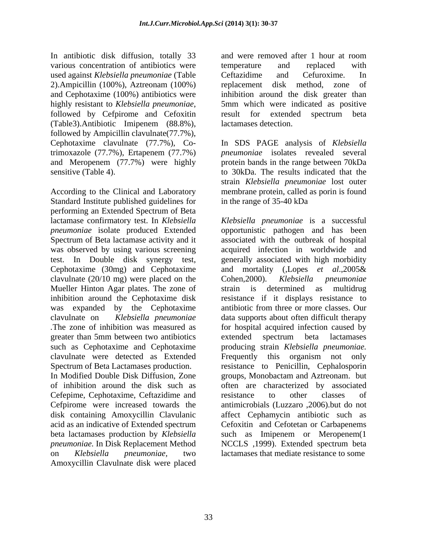In antibiotic disk diffusion, totally 33 and were removed after 1 hour at room various concentration of antibiotics were temperature and replaced with used against *Klebsiella pneumoniae* (Table 2).Ampicillin (100%), Aztreonam (100%) and Cephotaxime (100%) antibiotics were inhibition around the disk greater than highly resistant to *Klebsiella pneumoniae*, 5mm which were indicated as positive followed by Cefpirome and Cefoxitin result for extended spectrum beta (Table3).Antibiotic Imipenem (88.8%), followed by Ampicillin clavulnate  $(77.7\%)$ ,<br>Cephotaxime clavulnate  $(77.7\%)$ , Cotrimoxazole (77.7%), Ertapenem (77.7%)

According to the Clinical and Laboratory membrane protein, called as porin is found Standard Institute published guidelines for performing an Extended Spectrum of Beta lactamase confirmatory test. In *Klebsiella Klebsiella pneumoniae* is a successful *pneumoniae* isolate produced Extended opportunistic pathogen and has been Spectrum of Beta lactamase activity and it associated with the outbreak of hospital was observed by using various screening acquired infection in worldwide and test. In Double disk synergy test, generally associated with high morbidity Cephotaxime (30mg) and Cephotaxime and mortality (,Lopes *et al*.,2005& clavulnate (20/10 mg) were placed on the Cohen, 2000). Klebsiella pneumoniae Mueller Hinton Agar plates. The zone of strain is determined as multidrug inhibition around the Cephotaxime disk resistance if it displays resistance to was expanded by the Cephotaxime antibiotic from three or more classes. Our clavulnate on *Klebsiella pneumoniae*  data supports about often difficult therapy *.*The zone of inhibition was measured as for hospital acquired infection caused by greater than 5mm between two antibiotics such as Cephotaxime and Cephotaxime producing strain *Klebsiella pneumoniae.*  clavulnate were detected as Extended Spectrum of Beta Lactamases production. resistance to Penicillin, Cephalosporin In Modified Double Disk Diffusion, Zone of inhibition around the disk such as often are characterized by associated Cefepime, Cephotaxime, Ceftazidime and Cefpirome were increased towards the disk containing Amoxycillin Clavulanic affect Cephamycin antibiotic such as acid as an indicative of Extended spectrum Cefoxitin and Cefotetan or Carbapenems beta lactamases production by *Klebsiella*  such as Imipenem or Meropenem(1 *pneumoniae.* In Disk Replacement Method NCCLS ,1999). Extended spectrum beta on *Klebsiella pneumoniae,* two lactamases that mediate resistance to some Amoxycillin Clavulnate disk were placed

and were removed after 1 hour at room temperature and replaced with Ceftazidime and Cefuroxime. In replacement disk method, zone 5mm which were indicated as positive result for extended spectrum beta lactamases detection.

Cephotaxime clavulnate (77.7%), Co-In SDS PAGE analysis of *Klebsiella* and Meropenem (77.7%) were highly protein bands in the range between 70kDa sensitive (Table 4). to 30kDa. The results indicated that the *pneumoniae* isolates revealed several strain *Klebsiella pneumoniae* lost outer in the range of 35-40 kDa

> Cohen,2000). *Klebsiella pneumoniae* strain is determined as multidrug extended spectrum beta lactamases Frequently this organism not only groups, Monobactam and Aztreonam. but resistance to other classes of antimicrobials (Luzzaro ,2006).but do not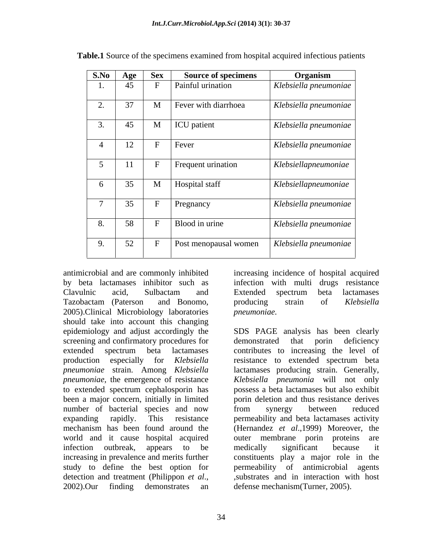|                  | S.No Age                   | $ $ Sex      | <b>Source of specimens</b>   | Organism                              |
|------------------|----------------------------|--------------|------------------------------|---------------------------------------|
|                  | $\Lambda$ $\epsilon$<br>4J |              | Painful urination            | $ $ Klebsiella pneumoniae $ $         |
|                  | $\gamma$                   | $\mathbf{M}$ | Fever with diarrhoea         |                                       |
| $\overline{a}$ . | J <sub>1</sub>             |              |                              | Klebsiella pneumoniae                 |
|                  | $\Lambda$ $\Gamma$<br>4J   | $\mathbf{M}$ | ICU patient                  | Klebsiella pneumoniae                 |
|                  |                            | $\mathbf{r}$ |                              |                                       |
|                  | $\sqrt{10}$<br>12          |              | Fever                        | Klebsiella pneumoniae                 |
|                  | $-11$                      | $\mathbf{r}$ | Frequent urination           | $\sqrt{\frac{Klebsi}}$ ellapneumoniae |
|                  | $\mathbf{1}$               |              |                              |                                       |
|                  | $\cap$ $\subset$<br>ر ر    | $\mathbf M$  | Hospital staff               | $Kleb$ siellapneumoniae               |
|                  | $\Omega$                   |              |                              |                                       |
|                  | 55                         |              | Pregnancy                    | Klebsiella pneumoniae                 |
|                  | 58                         |              | Blood in urine               | Klebsiella pneumoniae                 |
|                  |                            |              |                              |                                       |
|                  | 52                         |              | <b>Post menopausal women</b> | Klebsiella pneumoniae                 |
|                  |                            |              |                              |                                       |

**Table.1** Source of the specimens examined from hospital acquired infectious patients

antimicrobial and are commonly inhibited increasing incidence of hospital acquired by beta lactamases inhibitor such as infection with multi drugs resistance Clavulnic acid, Sulbactam and Tazobactam (Paterson and Bonomo, producing strain of Klebsiella 2005).Clinical Microbiology laboratories should take into account this changing epidemiology and adjust accordingly the screening and confirmatory procedures for demonstrated that porin deficiency production especially for *Klebsiella*  to extended spectrum cephalosporin has been a major concern, initially in limited number of bacterial species and now from synergy between reduced world and it cause hospital acquired outer membrane porin proteins are detection and treatment (Philippon *et al.*, substrates and in interaction with host 2002).Our finding demonstrates an defense mechanism (Turner, 2005).

Extended spectrum beta lactamases producing strain of *Klebsiella pneumoniae.*

extended spectrum beta lactamases contributes to increasing the level of *pneumoniae* strain. Among *Klebsiella*  lactamases producing strain. Generally, *pneumoniae*, the emergence of resistance *Klebsiella pneumonia* will not only expanding rapidly. This resistance permeability and beta lactamases activity mechanism has been found around the (Hernandez*et al*.,1999) Moreover, the infection outbreak, appears to be medically significant because it increasing in prevalence and merits further constituents play a major role in the study to define the best option for permeability of antimicrobial agents SDS PAGE analysis has been clearly demonstrated that porin deficiency resistance to extended spectrum beta possess a beta lactamases but also exhibit porin deletion and thus resistance derives from synergy between reduced outer membrane porin proteins medically significant because it ,substrates and in interaction with host defense mechanism(Turner, 2005).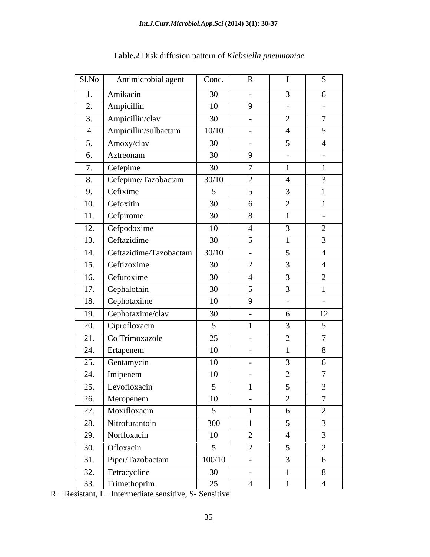| S1.No             | Antimicrobial agent          | Conc.           | $\mathbf{R}$             |                                       | S              |
|-------------------|------------------------------|-----------------|--------------------------|---------------------------------------|----------------|
|                   | Amikacin                     | 30              | $\overline{\phantom{0}}$ | $\overline{3}$                        | 6              |
| 2.                | Ampicillin                   | 10              | $\mathbf{Q}$             | $\sim$                                | $\sim$         |
| 3.                | Ampicillin/clav              | 30              | $\sim$                   | $\bigcap$<br>$\overline{\phantom{0}}$ | $\tau$         |
| $\overline{4}$    | Ampicillin/sulbactam         | 10/10           | $\sim$                   |                                       | $\sqrt{5}$     |
| 5.                | Amoxy/clav                   | 30              | $\sim$                   | $\sim$                                |                |
| 6.                | Aztreonam                    | 30              | $\mathbf{Q}$             | $-$                                   | $-$            |
|                   | Cefepime                     | 30              |                          |                                       |                |
| 8.                | Cefepime/Tazobactam          | 30/10           | 2                        |                                       | $\mathcal{R}$  |
| 9.                | Cefixime                     | $5\overline{)}$ | $\leq$                   | $\mathcal{R}$                         | $\mathbf{1}$   |
| 10.               | Cefoxitin                    | 30              | -6                       | $\gamma$<br>$\overline{2}$            |                |
| 11.               | Cefpirome                    | 30              | 8                        |                                       | $\sim$         |
|                   | 12. Cefpodoxime              | 10              |                          |                                       | 2              |
|                   | 13. Ceftazidime              | 30              | $\sim$                   |                                       | $\mathcal{E}$  |
|                   | 14.   Ceftazidime/Tazobactam | 30/10           | $\sim$                   | 5 <sup>5</sup>                        |                |
|                   | 15. Ceftizoxime              | 30              | $\gamma$                 | $\mathcal{R}$                         |                |
| 16.               | Cefuroxime                   | 30              |                          | $\mathcal{R}$                         | $\gamma$       |
| 17.               | Cephalothin                  | 30              | $\leq$                   | $\mathcal{R}$                         |                |
|                   | 18. Cephotaxime              | 10              | $\mathbf{Q}$             | $\sim$                                | $\sim$         |
|                   | 19. $Cephotaxime/clav$       | 30              | $\overline{\phantom{0}}$ | 6                                     | 12             |
| 20.               | Ciprofloxacin                | $5\overline{)}$ |                          | $\mathcal{R}$                         | 5 <sup>5</sup> |
| 21.               | Co Trimoxazole               | 25              | $\sim$                   | $\bigcap$<br>$\overline{2}$           | $\mathcal{L}$  |
|                   | 24. Ertapenem                | 10              | $\sim$                   |                                       | 8              |
| 25.               | Gentamycin                   | 10              | $\sim$                   | $\mathcal{R}$                         | 6              |
|                   | $24.$ Imipenem               | 10              | $\overline{\phantom{0}}$ | 2                                     | $\mathcal{L}$  |
|                   | 25. Levofloxacin             | $\sim$          |                          | $\leq$                                | $\mathcal{L}$  |
| $\overline{26}$ . | Meropenem                    | 10              | $\overline{\phantom{0}}$ | 2                                     | $\mathcal{L}$  |
| 27.               | Moxifloxacin                 | $5\overline{)}$ |                          | 6                                     | 2              |
| 28.               | Nitrofurantoin               | 300             |                          | $5\overline{)}$                       | $\overline{3}$ |
| $\overline{29}$ . | Norfloxacin                  | 10              | 2                        |                                       | $\mathbf{3}$   |
| 30.               | Ofloxacin                    | $5\overline{)}$ | $\bigcap$                | $\overline{5}$                        | 2              |
| 31.               | Piper/Tazobactam             | 100/10          | $\sim$                   | $\mathcal{R}$                         | 6              |
| 32.               | Tetracycline                 | 30              | $\sim$                   |                                       | 8              |
| 33.               | Trimethoprim                 | 25              |                          |                                       |                |

**Table.2** Disk diffusion pattern of *Klebsiella pneumoniae*

R - Resistant, I - Intermediate sensitive, S- Sensitive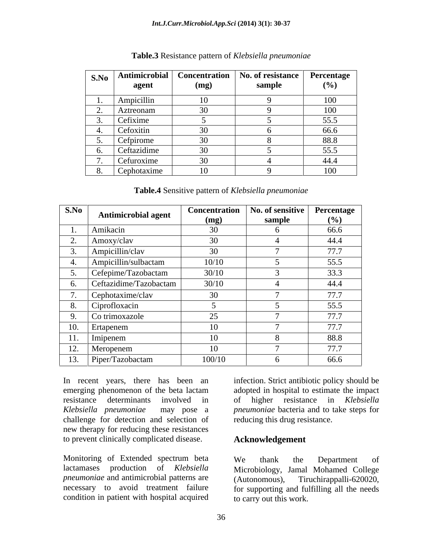| agent       | (mg) | S.No   Antimicrobial   Concentration   No. of resistance   Percentage  <br>sample | $(\%)$ |
|-------------|------|-----------------------------------------------------------------------------------|--------|
| Ampicillin  | 10   |                                                                                   | 100    |
| Aztreonam   |      |                                                                                   | 100    |
| Cefixime    |      |                                                                                   | 55.5   |
| Cefoxitin   | 30   |                                                                                   | 66.6   |
| Cefpirome   | 30   |                                                                                   | 88.8   |
| Ceftazidime | 30   |                                                                                   | 55.5   |
| Cefuroxime  |      |                                                                                   | 44.4   |
| Cephotaxime | 10   |                                                                                   | 100    |

**Table.3** Resistance pattern of *Klebsiella pneumoniae*

**Table.4** Sensitive pattern of *Klebsiella pneumoniae*

| S.No                              | <b>Antimicrobial agent</b> | Concentration | No. of sensitive Percentage |       |
|-----------------------------------|----------------------------|---------------|-----------------------------|-------|
|                                   |                            | (mg)          | sample                      | (9/0) |
|                                   | Amikacin                   | 30            |                             | 66.6  |
|                                   | Amoxy/clav                 | 30            |                             | 44.4  |
|                                   | Ampicillin/clav            | 30            |                             | 77.7  |
|                                   | Ampicillin/sulbactam       | 10/10         |                             | 55.5  |
|                                   | Cefepime/Tazobactam        | 30/10         |                             | 33.3  |
|                                   | Ceftazidime/Tazobactam     | 30/10         |                             | 44.4  |
|                                   | Cephotaxime/clav           | 30            |                             | 77.7  |
|                                   | Ciprofloxacin              |               |                             | 55.5  |
|                                   | Co trimoxazole             | 25            |                             | 77.7  |
| 10.                               | Ertapenem                  | 10            |                             | 77.7  |
| $-4 - 4$<br>$\pm$ 1.              | Imipenem                   | 10            |                             | 88.8  |
| $1^{\circ}$<br>$\perp$ $\angle$ . | Meropenem                  | 10            |                             | 77.7  |
|                                   | 13. Piper/Tazobactam       | 100/10        |                             | 66.6  |

In recent years, there has been an infection. Strict antibiotic policy should be emerging phenomenon of the beta lactam adopted in hospital to estimate the impact resistance determinants involved in of higher resistance in *Klebsiella Klebsiella pneumoniae* may pose a *pneumoniae* bacteria and to take steps for challenge for detection and selection of new therapy for reducing these resistances to prevent clinically complicated disease.

Monitoring of Extended spectrum beta We thank the Department of *pneumoniae* and antimicrobial patterns are (Autonomous), necessary to avoid treatment failure condition in patient with hospital acquired to carry out this work.

reducing this drug resistance.

## **Acknowledgement**

lactamases production of *Klebsiella*  Microbiology, Jamal Mohamed College We thank the Department of Tiruchirappalli-620020, for supporting and fulfilling all the needs to carry out this work.